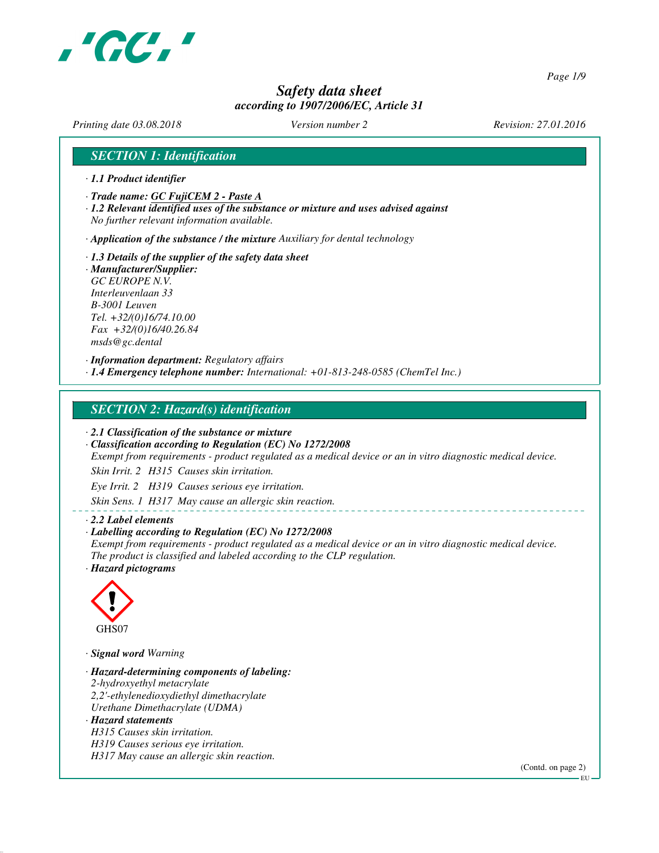

*Page 1/9*

## *Safety data sheet according to 1907/2006/EC, Article 31*

*Printing date 03.08.2018 Version number 2 Revision: 27.01.2016*

### *SECTION 1: Identification*

- *· 1.1 Product identifier*
- *· Trade name: GC FujiCEM 2 Paste A*
- *· 1.2 Relevant identified uses of the substance or mixture and uses advised against No further relevant information available.*

*· Application of the substance / the mixture Auxiliary for dental technology*

*· 1.3 Details of the supplier of the safety data sheet · Manufacturer/Supplier: GC EUROPE N.V. Interleuvenlaan 33 B-3001 Leuven Tel. +32/(0)16/74.10.00 Fax +32/(0)16/40.26.84 msds@gc.dental*

*· Information department: Regulatory affairs · 1.4 Emergency telephone number: International: +01-813-248-0585 (ChemTel Inc.)*

#### *SECTION 2: Hazard(s) identification*

*· 2.1 Classification of the substance or mixture*

*· Classification according to Regulation (EC) No 1272/2008*

*Exempt from requirements - product regulated as a medical device or an in vitro diagnostic medical device.*

*Skin Irrit. 2 H315 Causes skin irritation.*

*Eye Irrit. 2 H319 Causes serious eye irritation.*

*Skin Sens. 1 H317 May cause an allergic skin reaction.*

#### *· 2.2 Label elements*

#### *· Labelling according to Regulation (EC) No 1272/2008*

*Exempt from requirements - product regulated as a medical device or an in vitro diagnostic medical device. The product is classified and labeled according to the CLP regulation.*

*· Hazard pictograms*



*· Signal word Warning*

*· Hazard-determining components of labeling: 2-hydroxyethyl metacrylate 2,2'-ethylenedioxydiethyl dimethacrylate Urethane Dimethacrylate (UDMA) · Hazard statements H315 Causes skin irritation. H319 Causes serious eye irritation. H317 May cause an allergic skin reaction.*

(Contd. on page 2)

EU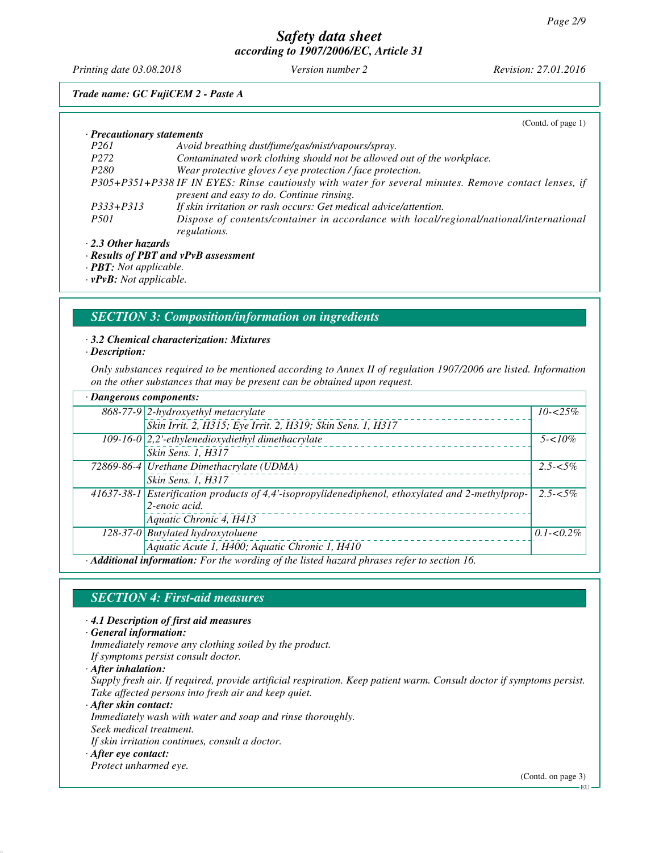*Printing date 03.08.2018 Version number 2 Revision: 27.01.2016*

# *Trade name: GC FujiCEM 2 - Paste A*

|                                            | (Contd. of page $1$ )                                                                                 |  |  |  |
|--------------------------------------------|-------------------------------------------------------------------------------------------------------|--|--|--|
| · Precautionary statements                 |                                                                                                       |  |  |  |
| <i>P261</i>                                | Avoid breathing dust/fume/gas/mist/vapours/spray.                                                     |  |  |  |
| P <sub>272</sub>                           | Contaminated work clothing should not be allowed out of the workplace.                                |  |  |  |
| P <sub>280</sub>                           | Wear protective gloves / eye protection / face protection.                                            |  |  |  |
|                                            | P305+P351+P338 IF IN EYES: Rinse cautiously with water for several minutes. Remove contact lenses, if |  |  |  |
|                                            | present and easy to do. Continue rinsing.                                                             |  |  |  |
| $P333 + P313$                              | If skin irritation or rash occurs: Get medical advice/attention.                                      |  |  |  |
| <i>P501</i>                                | Dispose of contents/container in accordance with local/regional/national/international                |  |  |  |
|                                            | regulations.                                                                                          |  |  |  |
| · 2.3 Other hazards                        |                                                                                                       |  |  |  |
| $\cdot$ Results of PBT and vPvB assessment |                                                                                                       |  |  |  |

*· PBT: Not applicable.*

*· vPvB: Not applicable.*

#### *SECTION 3: Composition/information on ingredients*

#### *· 3.2 Chemical characterization: Mixtures*

*· Description:*

*Only substances required to be mentioned according to Annex II of regulation 1907/2006 are listed. Information on the other substances that may be present can be obtained upon request.*

| · Dangerous components:                                                                     |                                                                                                  |               |  |
|---------------------------------------------------------------------------------------------|--------------------------------------------------------------------------------------------------|---------------|--|
|                                                                                             | 868-77-9 2-hydroxyethyl metacrylate                                                              | $10 - 25\%$   |  |
|                                                                                             | Skin Irrit. 2, H315; Eye Irrit. 2, H319; Skin Sens. 1, H317                                      |               |  |
|                                                                                             | $109-16-0$ 2,2'-ethylenedioxydiethyl dimethacrylate                                              | $5 - 10\%$    |  |
|                                                                                             | Skin Sens. 1, H317                                                                               |               |  |
|                                                                                             | 72869-86-4 Urethane Dimethacrylate (UDMA)                                                        | $2.5 - 5\%$   |  |
|                                                                                             | Skin Sens. 1, H317                                                                               |               |  |
|                                                                                             | 41637-38-1 Esterification products of 4,4'-isopropylidenediphenol, ethoxylated and 2-methylprop- | $2.5 - 5\%$   |  |
|                                                                                             | 2-enoic acid.                                                                                    |               |  |
|                                                                                             | Aquatic Chronic 4, H413                                                                          |               |  |
|                                                                                             | 128-37-0 Butylated hydroxytoluene                                                                | $0.1 - 0.2\%$ |  |
|                                                                                             | Aquatic Acute 1, H400; Aquatic Chronic 1, H410                                                   |               |  |
| · Additional information: For the wording of the listed hazard phrases refer to section 16. |                                                                                                  |               |  |

#### *SECTION 4: First-aid measures*

*· 4.1 Description of first aid measures*

*· General information:*

*Immediately remove any clothing soiled by the product.*

*If symptoms persist consult doctor.*

*· After inhalation:*

*Supply fresh air. If required, provide artificial respiration. Keep patient warm. Consult doctor if symptoms persist. Take affected persons into fresh air and keep quiet.*

*· After skin contact:*

*Immediately wash with water and soap and rinse thoroughly.*

*Seek medical treatment.*

*If skin irritation continues, consult a doctor.*

*· After eye contact:*

*Protect unharmed eye.*

(Contd. on page 3)

EU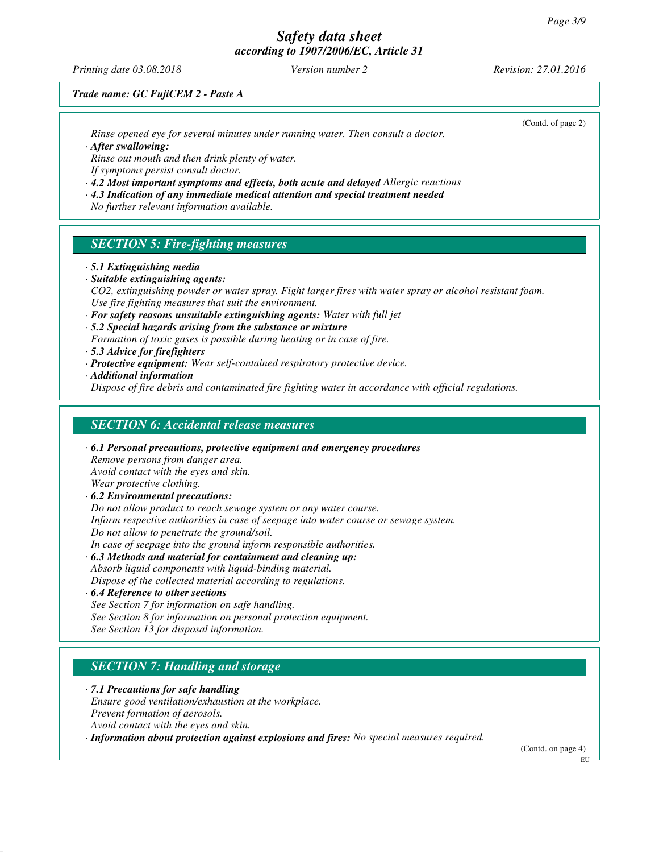*Printing date 03.08.2018 Version number 2 Revision: 27.01.2016*

(Contd. of page 2)

*Trade name: GC FujiCEM 2 - Paste A*

*Rinse opened eye for several minutes under running water. Then consult a doctor.*

*· After swallowing:*

*Rinse out mouth and then drink plenty of water. If symptoms persist consult doctor.*

*· 4.2 Most important symptoms and effects, both acute and delayed Allergic reactions*

*· 4.3 Indication of any immediate medical attention and special treatment needed*

*No further relevant information available.*

## *SECTION 5: Fire-fighting measures*

*· 5.1 Extinguishing media*

*· Suitable extinguishing agents:*

*CO2, extinguishing powder or water spray. Fight larger fires with water spray or alcohol resistant foam. Use fire fighting measures that suit the environment.*

*· For safety reasons unsuitable extinguishing agents: Water with full jet*

*· 5.2 Special hazards arising from the substance or mixture*

*Formation of toxic gases is possible during heating or in case of fire.*

*· 5.3 Advice for firefighters*

*· Protective equipment: Wear self-contained respiratory protective device.*

*· Additional information*

*Dispose of fire debris and contaminated fire fighting water in accordance with official regulations.*

### *SECTION 6: Accidental release measures*

*· 6.1 Personal precautions, protective equipment and emergency procedures Remove persons from danger area. Avoid contact with the eyes and skin. Wear protective clothing. · 6.2 Environmental precautions: Do not allow product to reach sewage system or any water course. Inform respective authorities in case of seepage into water course or sewage system. Do not allow to penetrate the ground/soil. In case of seepage into the ground inform responsible authorities.*

*· 6.3 Methods and material for containment and cleaning up: Absorb liquid components with liquid-binding material. Dispose of the collected material according to regulations.*

*· 6.4 Reference to other sections See Section 7 for information on safe handling.*

*See Section 8 for information on personal protection equipment.*

*See Section 13 for disposal information.*

## *SECTION 7: Handling and storage*

*· 7.1 Precautions for safe handling Ensure good ventilation/exhaustion at the workplace. Prevent formation of aerosols. Avoid contact with the eyes and skin.*

*· Information about protection against explosions and fires: No special measures required.*

(Contd. on page 4)

EU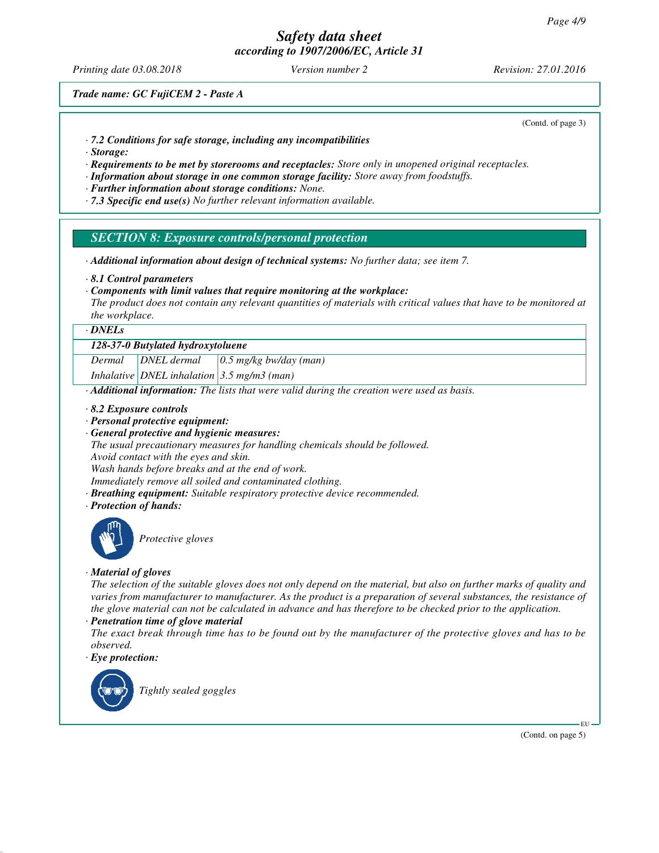*Printing date 03.08.2018 Version number 2 Revision: 27.01.2016*

*Trade name: GC FujiCEM 2 - Paste A*

(Contd. of page 3)

- *· 7.2 Conditions for safe storage, including any incompatibilities*
- *· Storage:*
- *· Requirements to be met by storerooms and receptacles: Store only in unopened original receptacles.*
- *· Information about storage in one common storage facility: Store away from foodstuffs.*
- *· Further information about storage conditions: None.*
- *· 7.3 Specific end use(s) No further relevant information available.*

#### *SECTION 8: Exposure controls/personal protection*

- *· Additional information about design of technical systems: No further data; see item 7.*
- *· 8.1 Control parameters*
- *· Components with limit values that require monitoring at the workplace:*

*The product does not contain any relevant quantities of materials with critical values that have to be monitored at the workplace.*

#### *· DNELs*

#### *128-37-0 Butylated hydroxytoluene*

*Dermal DNEL dermal 0.5 mg/kg bw/day (man)*

*Inhalative DNEL inhalation 3.5 mg/m3 (man)*

*· Additional information: The lists that were valid during the creation were used as basis.*

*· 8.2 Exposure controls*

- *· Personal protective equipment:*
- *· General protective and hygienic measures:*

*The usual precautionary measures for handling chemicals should be followed. Avoid contact with the eyes and skin.*

*Wash hands before breaks and at the end of work.*

*Immediately remove all soiled and contaminated clothing.*

- *· Breathing equipment: Suitable respiratory protective device recommended.*
- *· Protection of hands:*



*Protective gloves*

#### *· Material of gloves*

*The selection of the suitable gloves does not only depend on the material, but also on further marks of quality and varies from manufacturer to manufacturer. As the product is a preparation of several substances, the resistance of the glove material can not be calculated in advance and has therefore to be checked prior to the application.*

*· Penetration time of glove material*

*The exact break through time has to be found out by the manufacturer of the protective gloves and has to be observed.*

*· Eye protection:*



(Contd. on page 5)

EU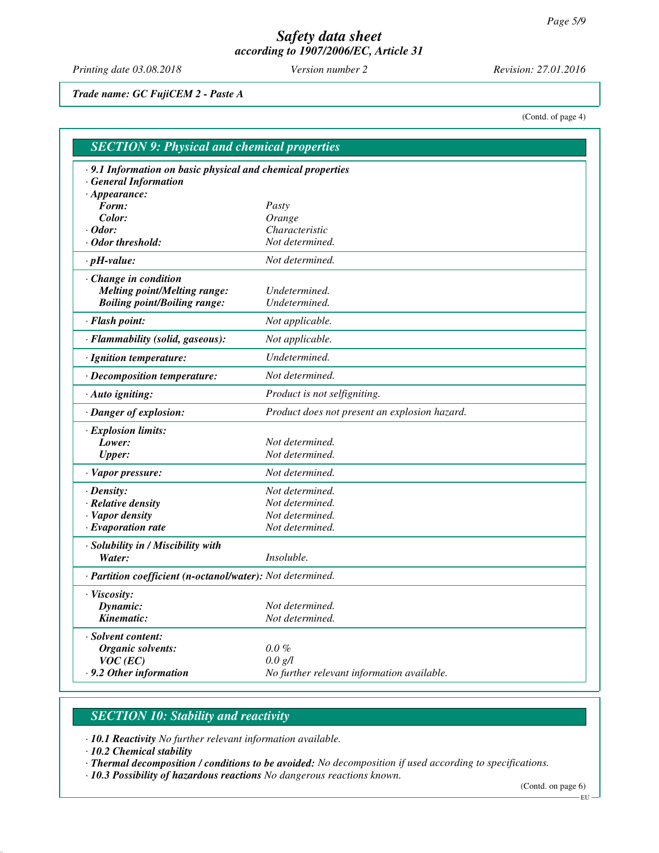*Printing date 03.08.2018 Version number 2 Revision: 27.01.2016*

*Trade name: GC FujiCEM 2 - Paste A*

(Contd. of page 4)

| · 9.1 Information on basic physical and chemical properties |                                               |
|-------------------------------------------------------------|-----------------------------------------------|
| <b>General Information</b>                                  |                                               |
| $\cdot$ Appearance:                                         |                                               |
| Form:                                                       | Pasty                                         |
| Color:                                                      | Orange                                        |
| $\cdot$ Odor:                                               | Characteristic                                |
| $\cdot$ Odor threshold:                                     | Not determined.                               |
| $\cdot$ pH-value:                                           | Not determined.                               |
| · Change in condition                                       |                                               |
| <b>Melting point/Melting range:</b>                         | Undetermined.                                 |
| <b>Boiling point/Boiling range:</b>                         | Undetermined.                                 |
| · Flash point:                                              | Not applicable.                               |
| · Flammability (solid, gaseous):                            | Not applicable.                               |
| · Ignition temperature:                                     | Undetermined.                                 |
| · Decomposition temperature:                                | Not determined.                               |
| · Auto igniting:                                            | Product is not selfigniting.                  |
| · Danger of explosion:                                      | Product does not present an explosion hazard. |
| · Explosion limits:                                         |                                               |
| Lower:                                                      | Not determined.                               |
| <b>Upper:</b>                                               | Not determined.                               |
| · Vapor pressure:                                           | Not determined.                               |
| $\cdot$ Density:                                            | Not determined.                               |
| · Relative density                                          | Not determined.                               |
| · Vapor density                                             | Not determined.                               |
| $\cdot$ Evaporation rate                                    | Not determined.                               |
| · Solubility in / Miscibility with                          |                                               |
| Water:                                                      | Insoluble.                                    |
| · Partition coefficient (n-octanol/water): Not determined.  |                                               |
| · Viscosity:                                                |                                               |
| Dynamic:                                                    | Not determined.                               |
| Kinematic:                                                  | Not determined.                               |
| · Solvent content:                                          |                                               |
| Organic solvents:                                           | $0.0 \%$                                      |
| $VOC$ (EC)                                                  | $0.0 \text{ g/l}$                             |
| .9.2 Other information                                      | No further relevant information available.    |

# *SECTION 10: Stability and reactivity*

*· 10.1 Reactivity No further relevant information available.*

*· 10.2 Chemical stability*

*· Thermal decomposition / conditions to be avoided: No decomposition if used according to specifications.*

*· 10.3 Possibility of hazardous reactions No dangerous reactions known.*

(Contd. on page 6)

 $-EU -$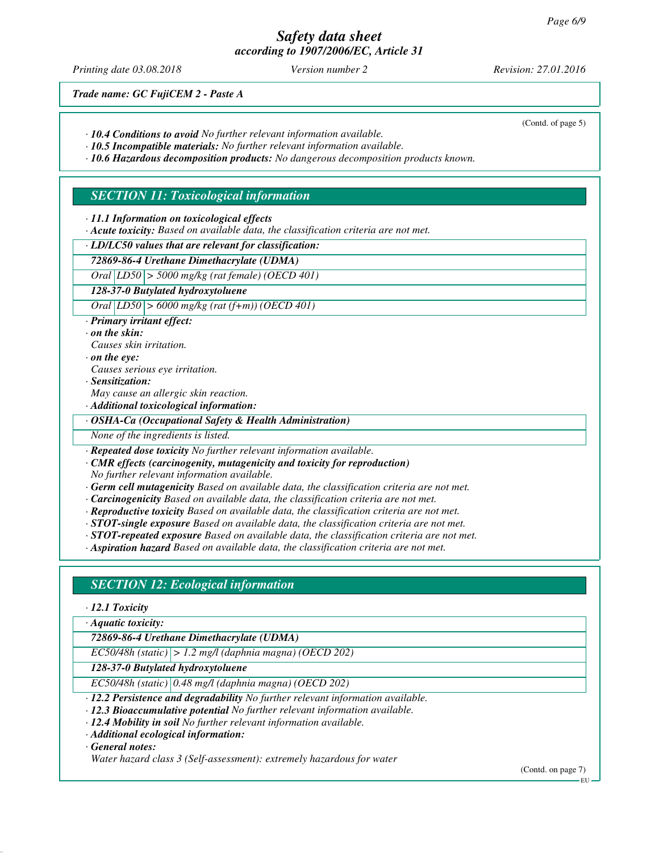*Printing date 03.08.2018 Version number 2 Revision: 27.01.2016*

(Contd. of page 5)

*Trade name: GC FujiCEM 2 - Paste A*

*· 10.4 Conditions to avoid No further relevant information available.*

*· 10.5 Incompatible materials: No further relevant information available.*

*· 10.6 Hazardous decomposition products: No dangerous decomposition products known.*

### *SECTION 11: Toxicological information*

*· 11.1 Information on toxicological effects*

*· Acute toxicity: Based on available data, the classification criteria are not met.*

*· LD/LC50 values that are relevant for classification:*

### *72869-86-4 Urethane Dimethacrylate (UDMA)*

*Oral LD50 > 5000 mg/kg (rat female) (OECD 401)*

*128-37-0 Butylated hydroxytoluene*

*Oral LD50 > 6000 mg/kg (rat (f+m)) (OECD 401)*

*· Primary irritant effect:*

*· on the skin:*

*Causes skin irritation.*

*· on the eye:*

*Causes serious eye irritation.*

*· Sensitization:*

*May cause an allergic skin reaction.*

*· Additional toxicological information:*

*· OSHA-Ca (Occupational Safety & Health Administration)*

*None of the ingredients is listed.*

*· Repeated dose toxicity No further relevant information available.*

*· CMR effects (carcinogenity, mutagenicity and toxicity for reproduction) No further relevant information available.*

*· Germ cell mutagenicity Based on available data, the classification criteria are not met.*

*· Carcinogenicity Based on available data, the classification criteria are not met.*

- *· Reproductive toxicity Based on available data, the classification criteria are not met.*
- *· STOT-single exposure Based on available data, the classification criteria are not met.*
- *· STOT-repeated exposure Based on available data, the classification criteria are not met.*

*· Aspiration hazard Based on available data, the classification criteria are not met.*

## *SECTION 12: Ecological information*

*· 12.1 Toxicity*

*· Aquatic toxicity:*

*72869-86-4 Urethane Dimethacrylate (UDMA)*

*EC50/48h (static) > 1.2 mg/l (daphnia magna) (OECD 202)*

*128-37-0 Butylated hydroxytoluene*

*EC50/48h (static) 0.48 mg/l (daphnia magna) (OECD 202)*

- *· 12.2 Persistence and degradability No further relevant information available.*
- *· 12.3 Bioaccumulative potential No further relevant information available.*
- *· 12.4 Mobility in soil No further relevant information available.*
- *· Additional ecological information:*

*· General notes:*

*Water hazard class 3 (Self-assessment): extremely hazardous for water*

(Contd. on page 7)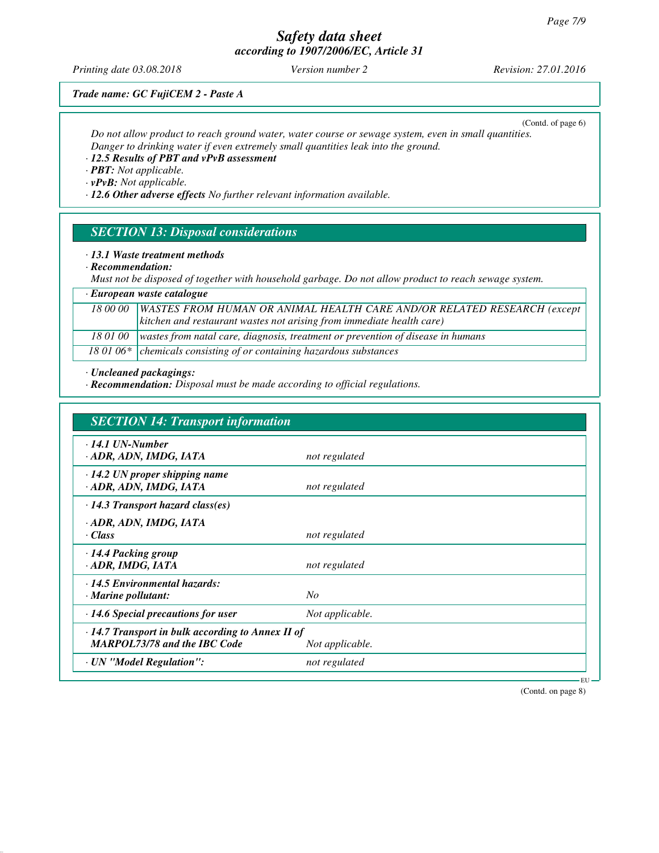*Printing date 03.08.2018 Version number 2 Revision: 27.01.2016*

*Trade name: GC FujiCEM 2 - Paste A*

(Contd. of page 6)

*Do not allow product to reach ground water, water course or sewage system, even in small quantities. Danger to drinking water if even extremely small quantities leak into the ground.*

### *· 12.5 Results of PBT and vPvB assessment*

*· PBT: Not applicable.*

*· vPvB: Not applicable.*

*· 12.6 Other adverse effects No further relevant information available.*

#### *SECTION 13: Disposal considerations*

*· 13.1 Waste treatment methods*

*· Recommendation:*

*Must not be disposed of together with household garbage. Do not allow product to reach sewage system.*

#### *· European waste catalogue*

*18 00 00 WASTES FROM HUMAN OR ANIMAL HEALTH CARE AND/OR RELATED RESEARCH (except kitchen and restaurant wastes not arising from immediate health care)*

*18 01 00 wastes from natal care, diagnosis, treatment or prevention of disease in humans*

18 01 06\* chemicals consisting of or containing hazardous substances

*· Uncleaned packagings:*

*· Recommendation: Disposal must be made according to official regulations.*

| <b>SECTION 14: Transport information</b>                                                       |                 |  |  |  |
|------------------------------------------------------------------------------------------------|-----------------|--|--|--|
| $\cdot$ 14.1 UN-Number<br>· ADR, ADN, IMDG, IATA                                               | not regulated   |  |  |  |
| $\cdot$ 14.2 UN proper shipping name<br>· ADR, ADN, IMDG, IATA                                 | not regulated   |  |  |  |
| $\cdot$ 14.3 Transport hazard class(es)                                                        |                 |  |  |  |
| · ADR, ADN, IMDG, IATA<br>· Class                                                              | not regulated   |  |  |  |
| $\cdot$ 14.4 Packing group<br>· ADR, IMDG, IATA                                                | not regulated   |  |  |  |
| $\cdot$ 14.5 Environmental hazards:<br>$\cdot$ Marine pollutant:                               | No              |  |  |  |
| $\cdot$ 14.6 Special precautions for user                                                      | Not applicable. |  |  |  |
| $\cdot$ 14.7 Transport in bulk according to Annex II of<br><b>MARPOL73/78 and the IBC Code</b> | Not applicable. |  |  |  |
| · UN "Model Regulation":                                                                       | not regulated   |  |  |  |

(Contd. on page 8)

EU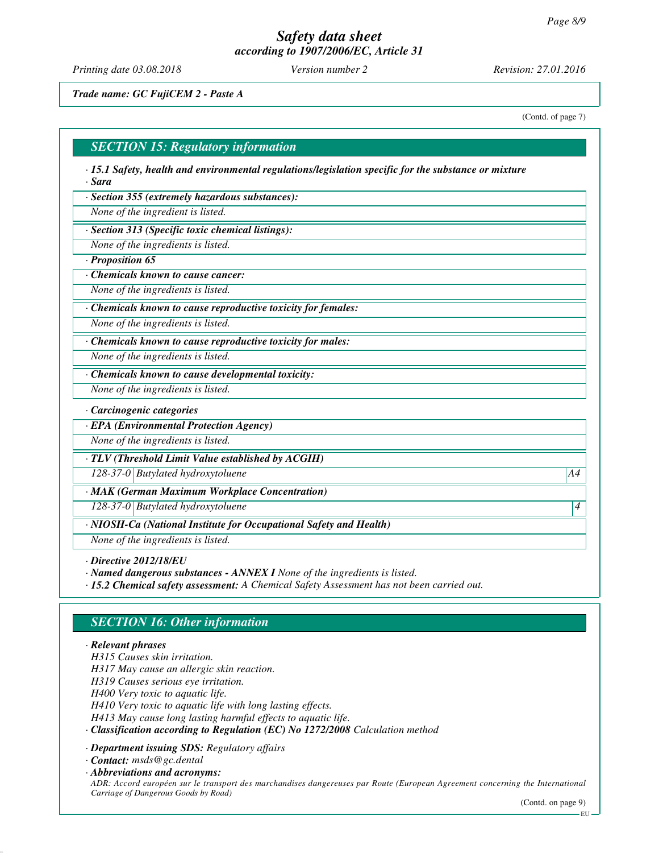*Printing date 03.08.2018 Version number 2 Revision: 27.01.2016*

*Trade name: GC FujiCEM 2 - Paste A*

(Contd. of page 7)

#### *SECTION 15: Regulatory information*

*· 15.1 Safety, health and environmental regulations/legislation specific for the substance or mixture · Sara*

*· Section 355 (extremely hazardous substances):*

*None of the ingredient is listed.*

*· Section 313 (Specific toxic chemical listings):*

*None of the ingredients is listed.*

*· Proposition 65*

*· Chemicals known to cause cancer:*

*None of the ingredients is listed.*

*· Chemicals known to cause reproductive toxicity for females:*

*None of the ingredients is listed.*

*· Chemicals known to cause reproductive toxicity for males:*

*None of the ingredients is listed.*

*· Chemicals known to cause developmental toxicity:*

*None of the ingredients is listed.*

*· Carcinogenic categories*

*· EPA (Environmental Protection Agency)*

*None of the ingredients is listed.*

*· TLV (Threshold Limit Value established by ACGIH)*

*128-37-0 Butylated hydroxytoluene A4*

*· MAK (German Maximum Workplace Concentration)*

*128-37-0 Butylated hydroxytoluene 4* 

*· NIOSH-Ca (National Institute for Occupational Safety and Health)*

*None of the ingredients is listed.*

*· Directive 2012/18/EU*

*· Named dangerous substances - ANNEX I None of the ingredients is listed.*

*· 15.2 Chemical safety assessment: A Chemical Safety Assessment has not been carried out.*

## *SECTION 16: Other information*

#### *· Relevant phrases*

*H315 Causes skin irritation.*

*H317 May cause an allergic skin reaction.*

*H319 Causes serious eye irritation.*

*H400 Very toxic to aquatic life.*

*H410 Very toxic to aquatic life with long lasting effects.*

*H413 May cause long lasting harmful effects to aquatic life.*

*· Classification according to Regulation (EC) No 1272/2008 Calculation method*

*· Department issuing SDS: Regulatory affairs*

*· Contact: msds@gc.dental*

*· Abbreviations and acronyms:*

*ADR: Accord européen sur le transport des marchandises dangereuses par Route (European Agreement concerning the International Carriage of Dangerous Goods by Road)*

EU